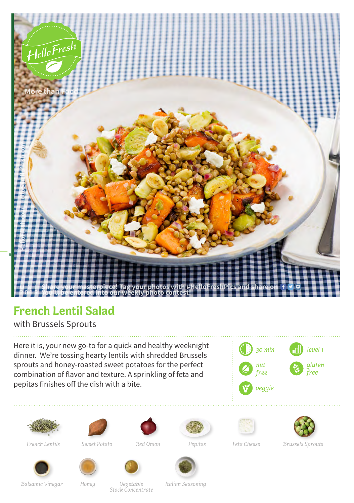

## **French Lentil Salad**

with Brussels Sprouts

Here it is, your new go-to for a quick and healthy weeknight dinner. We're tossing hearty lentils with shredded Brussels sprouts and honey-roasted sweet potatoes for the perfect combination of flavor and texture. A sprinkling of feta and pepitas finishes off the dish with a bite.













*French Lentils Sweet Potato Red Onion Pepitas Feta Cheese Brussels Sprouts*





*Balsamic Vinegar Honey Italian Seasoning*

*Vegetable Stock Concentrate*